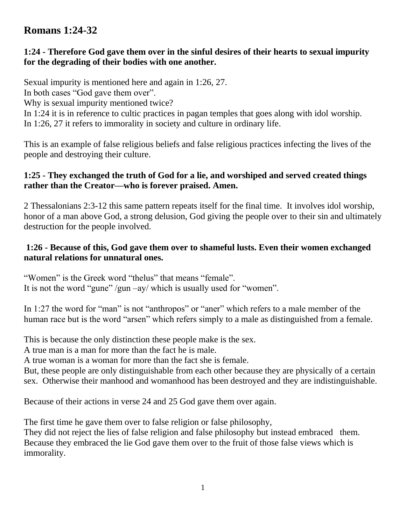# **Romans 1:24-32**

#### **1:24 - Therefore God gave them over in the sinful desires of their hearts to sexual impurity for the degrading of their bodies with one another.**

Sexual impurity is mentioned here and again in 1:26, 27.

In both cases "God gave them over".

Why is sexual impurity mentioned twice?

In 1:24 it is in reference to cultic practices in pagan temples that goes along with idol worship. In 1:26, 27 it refers to immorality in society and culture in ordinary life.

This is an example of false religious beliefs and false religious practices infecting the lives of the people and destroying their culture.

# **1:25 - They exchanged the truth of God for a lie, and worshiped and served created things rather than the Creator—who is forever praised. Amen.**

2 Thessalonians 2:3-12 this same pattern repeats itself for the final time. It involves idol worship, honor of a man above God, a strong delusion, God giving the people over to their sin and ultimately destruction for the people involved.

#### **1:26 - Because of this, God gave them over to shameful lusts. Even their women exchanged natural relations for unnatural ones.**

"Women" is the Greek word "thelus" that means "female". It is not the word "gune" /gun –ay/ which is usually used for "women".

In 1:27 the word for "man" is not "anthropos" or "aner" which refers to a male member of the human race but is the word "arsen" which refers simply to a male as distinguished from a female.

This is because the only distinction these people make is the sex.

A true man is a man for more than the fact he is male.

A true woman is a woman for more than the fact she is female.

But, these people are only distinguishable from each other because they are physically of a certain sex. Otherwise their manhood and womanhood has been destroyed and they are indistinguishable.

Because of their actions in verse 24 and 25 God gave them over again.

The first time he gave them over to false religion or false philosophy,

They did not reject the lies of false religion and false philosophy but instead embraced them. Because they embraced the lie God gave them over to the fruit of those false views which is immorality.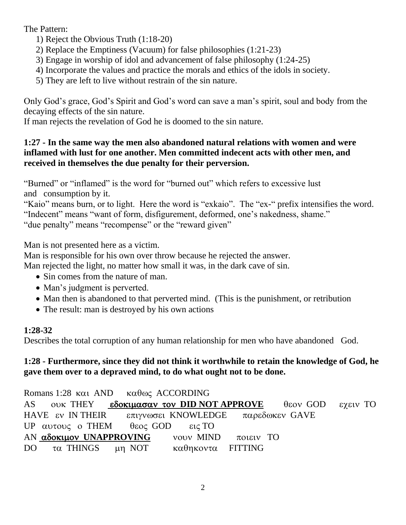The Pattern:

- 1) Reject the Obvious Truth (1:18-20)
- 2) Replace the Emptiness (Vacuum) for false philosophies (1:21-23)
- 3) Engage in worship of idol and advancement of false philosophy (1:24-25)
- 4) Incorporate the values and practice the morals and ethics of the idols in society.
- 5) They are left to live without restrain of the sin nature.

Only God's grace, God's Spirit and God's word can save a man's spirit, soul and body from the decaying effects of the sin nature.

If man rejects the revelation of God he is doomed to the sin nature.

#### **1:27 - In the same way the men also abandoned natural relations with women and were inflamed with lust for one another. Men committed indecent acts with other men, and received in themselves the due penalty for their perversion.**

"Burned" or "inflamed" is the word for "burned out" which refers to excessive lust and consumption by it.

"Kaio" means burn, or to light. Here the word is "exkaio". The "ex-" prefix intensifies the word. "Indecent" means "want of form, disfigurement, deformed, one's nakedness, shame." "due penalty" means "recompense" or the "reward given"

Man is not presented here as a victim.

Man is responsible for his own over throw because he rejected the answer.

Man rejected the light, no matter how small it was, in the dark cave of sin.

- Sin comes from the nature of man.
- Man's judgment is perverted.
- Man then is abandoned to that perverted mind. (This is the punishment, or retribution
- The result: man is destroyed by his own actions

# **1:28-32**

Describes the total corruption of any human relationship for men who have abandoned God.

# **1:28 - Furthermore, since they did not think it worthwhile to retain the knowledge of God, he gave them over to a depraved mind, to do what ought not to be done.**

Romans 1:28  $\kappa \alpha$  AND  $\kappa \alpha \theta$  accORDING AS OUK THEY **εδοκιμασαν τον DID NOT APPROVE** θεον GOD εχειν TO HAVE εν IN THEIR επιγνωσει KNOWLEDGE παρεδωκεν GAVE UP  $\alpha$   $\upsilon$   $\tau$   $\upsilon$   $\varsigma$  o THEM  $\theta$   $\epsilon$  $\upsilon$   $\varsigma$  GOD  $\epsilon$  $\upsilon$   $\varsigma$  TO AN αδοκιμον UNAPPROVING vouv MIND ποιειν ΤΟ DO τα THINGS μη ΝΟΤ καθηκοντα FITTING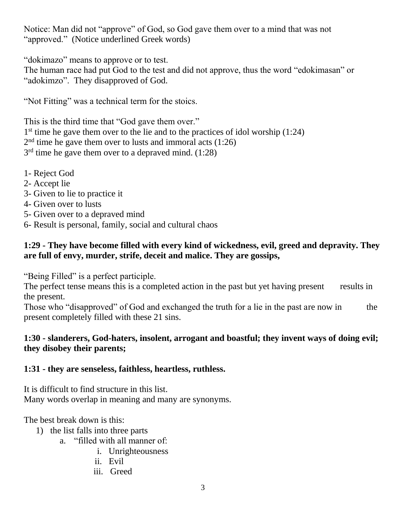Notice: Man did not "approve" of God, so God gave them over to a mind that was not "approved." (Notice underlined Greek words)

"dokimazo" means to approve or to test.

The human race had put God to the test and did not approve, thus the word "edokimasan" or "adokimzo". They disapproved of God.

"Not Fitting" was a technical term for the stoics.

This is the third time that "God gave them over." 1<sup>st</sup> time he gave them over to the lie and to the practices of idol worship (1:24) 2<sup>nd</sup> time he gave them over to lusts and immoral acts (1:26)  $3<sup>rd</sup>$  time he gave them over to a depraved mind. (1:28)

- 1- Reject God
- 2- Accept lie
- 3- Given to lie to practice it
- 4- Given over to lusts
- 5- Given over to a depraved mind
- 6- Result is personal, family, social and cultural chaos

#### **1:29 - They have become filled with every kind of wickedness, evil, greed and depravity. They are full of envy, murder, strife, deceit and malice. They are gossips,**

"Being Filled" is a perfect participle.

The perfect tense means this is a completed action in the past but yet having present results in the present.

Those who "disapproved" of God and exchanged the truth for a lie in the past are now in the present completely filled with these 21 sins.

# **1:30 - slanderers, God-haters, insolent, arrogant and boastful; they invent ways of doing evil; they disobey their parents;**

# **1:31 - they are senseless, faithless, heartless, ruthless.**

It is difficult to find structure in this list. Many words overlap in meaning and many are synonyms.

The best break down is this:

- 1) the list falls into three parts
	- a. "filled with all manner of:
		- i. Unrighteousness
		- ii. Evil
		- iii. Greed